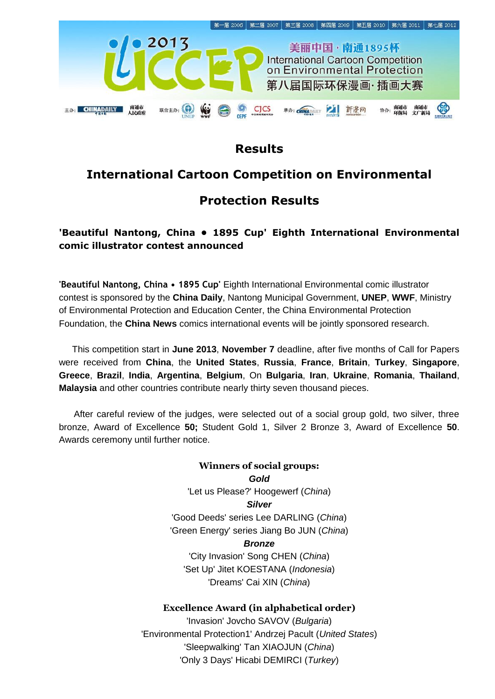

## **Results**

# **International Cartoon Competition on Environmental**

## **Protection Results**

### **'Beautiful Nantong, China • 1895 Cup' Eighth International Environmental comic illustrator contest announced**

**'Beautiful Nantong, China • 1895 Cup'** Eighth International Environmental comic illustrator contest is sponsored by the **China Daily**, Nantong Municipal Government, **UNEP**, **WWF**, Ministry of Environmental Protection and Education Center, the China Environmental Protection Foundation, the **China News** comics international events will be jointly sponsored research.

This competition start in **June 2013**, **November 7** deadline, after five months of Call for Papers were received from **China**, the **United States**, **Russia**, **France**, **Britain**, **Turkey**, **Singapore**, **Greece**, **Brazil**, **India**, **Argentina**, **Belgium**, On **Bulgaria**, **Iran**, **Ukraine**, **Romania**, **Thailand**, **Malaysia** and other countries contribute nearly thirty seven thousand pieces.

After careful review of the judges, were selected out of a social group gold, two silver, three bronze, Award of Excellence **50;** Student Gold 1, Silver 2 Bronze 3, Award of Excellence **50**. Awards ceremony until further notice.

> **Winners of social groups:** *Gold* 'Let us Please?' Hoogewerf (*China*) *Silver* 'Good Deeds' series Lee DARLING (*China*) 'Green Energy' series Jiang Bo JUN (*China*) *Bronze* 'City Invasion' Song CHEN (*China*) 'Set Up' Jitet KOESTANA (*Indonesia*) 'Dreams' Cai XIN (*China*)

### **Excellence Award (in alphabetical order)**

'Invasion' Jovcho SAVOV (*Bulgaria*) 'Environmental Protection1' Andrzej Pacult (*United States*) 'Sleepwalking' Tan XIAOJUN (*China*) 'Only 3 Days' Hicabi DEMIRCI (*Turkey*)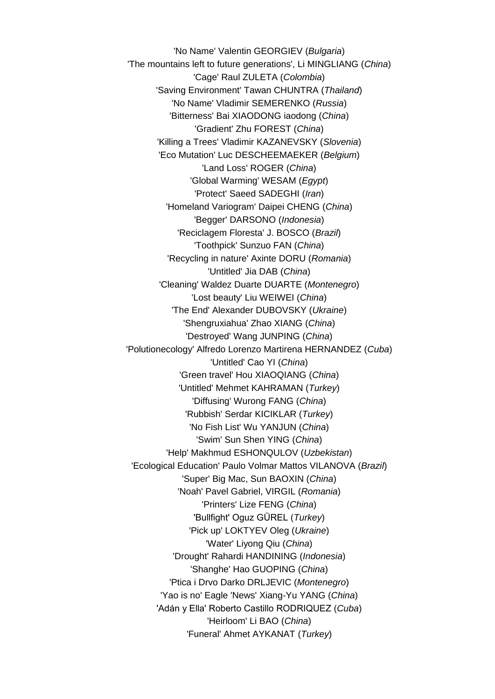'No Name' Valentin GEORGIEV (*Bulgaria*) 'The mountains left to future generations', Li MINGLIANG (*China*) 'Cage' Raul ZULETA (*Colombia*) 'Saving Environment' Tawan CHUNTRA (*Thailand*) 'No Name' Vladimir SEMERENKO (*Russia*) 'Bitterness' Bai XIAODONG iaodong (*China*) 'Gradient' Zhu FOREST (*China*) 'Killing a Trees' Vladimir KAZANEVSKY (*Slovenia*) 'Eco Mutation' Luc DESCHEEMAEKER (*Belgium*) 'Land Loss' ROGER (*China*) 'Global Warming' WESAM (*Egypt*) 'Protect' Saeed SADEGHI (*Iran*) 'Homeland Variogram' Daipei CHENG (*China*) 'Begger' DARSONO (*Indonesia*) 'Reciclagem Floresta' J. BOSCO (*Brazil*) 'Toothpick' Sunzuo FAN (*China*) 'Recycling in nature' Axinte DORU (*Romania*) 'Untitled' Jia DAB (*China*) 'Cleaning' Waldez Duarte DUARTE (*Montenegro*) 'Lost beauty' Liu WEIWEI (*China*) 'The End' Alexander DUBOVSKY (*Ukraine*) 'Shengruxiahua' Zhao XIANG (*China*) 'Destroyed' Wang JUNPING (*China*) 'Polutionecology' Alfredo Lorenzo Martirena HERNANDEZ (*Cuba*) 'Untitled' Cao YI (*China*) 'Green travel' Hou XIAOQIANG (*China*) 'Untitled' Mehmet KAHRAMAN (*Turkey*) 'Diffusing' Wurong FANG (*China*) 'Rubbish' Serdar KICIKLAR (*Turkey*) 'No Fish List' Wu YANJUN (*China*) 'Swim' Sun Shen YING (*China*) 'Help' Makhmud ESHONQULOV (*Uzbekistan*) 'Ecological Education' Paulo Volmar Mattos VILANOVA (*Brazil*) 'Super' Big Mac, Sun BAOXIN (*China*) 'Noah' Pavel Gabriel, VIRGIL (*Romania*) 'Printers' Lize FENG (*China*) 'Bullfight' Oguz GÜREL (*Turkey*) 'Pick up' LOKTYEV Oleg (*Ukraine*) 'Water' Liyong Qiu (*China*) 'Drought' Rahardi HANDINING (*Indonesia*) 'Shanghe' Hao GUOPING (*China*) 'Ptica i Drvo Darko DRLJEVIC (*Montenegro*) 'Yao is no' Eagle 'News' Xiang-Yu YANG (*China*) 'Adán y Ella' Roberto Castillo RODRIQUEZ (*Cuba*) 'Heirloom' Li BAO (*China*) 'Funeral' Ahmet AYKANAT (*Turkey*)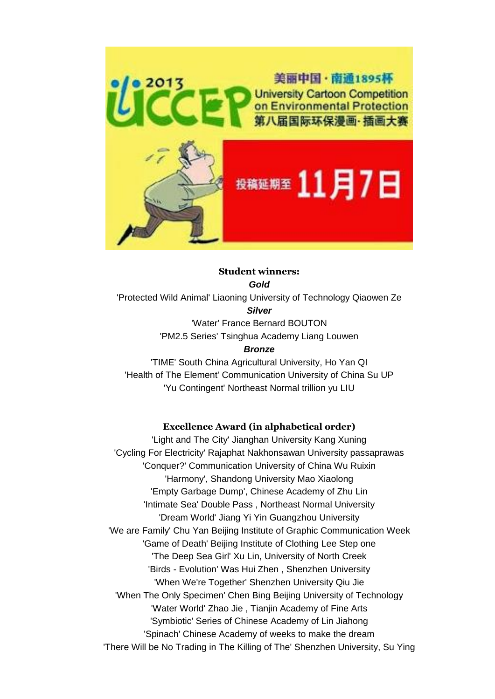

#### **Student winners:** *Gold*

'Protected Wild Animal' Liaoning University of Technology Qiaowen Ze *Silver*

> 'Water' France Bernard BOUTON 'PM2.5 Series' Tsinghua Academy Liang Louwen *Bronze*

'TIME' South China Agricultural University, Ho Yan QI 'Health of The Element' Communication University of China Su UP 'Yu Contingent' Northeast Normal trillion yu LIU

#### **Excellence Award (in alphabetical order)**

'Light and The City' Jianghan University Kang Xuning 'Cycling For Electricity' Rajaphat Nakhonsawan University passaprawas 'Conquer?' Communication University of China Wu Ruixin 'Harmony', Shandong University Mao Xiaolong 'Empty Garbage Dump', Chinese Academy of Zhu Lin 'Intimate Sea' Double Pass , Northeast Normal University 'Dream World' Jiang Yi Yin Guangzhou University 'We are Family' Chu Yan Beijing Institute of Graphic Communication Week 'Game of Death' Beijing Institute of Clothing Lee Step one 'The Deep Sea Girl' Xu Lin, University of North Creek 'Birds - Evolution' Was Hui Zhen , Shenzhen University 'When We're Together' Shenzhen University Qiu Jie 'When The Only Specimen' Chen Bing Beijing University of Technology 'Water World' Zhao Jie , Tianjin Academy of Fine Arts 'Symbiotic' Series of Chinese Academy of Lin Jiahong 'Spinach' Chinese Academy of weeks to make the dream 'There Will be No Trading in The Killing of The' Shenzhen University, Su Ying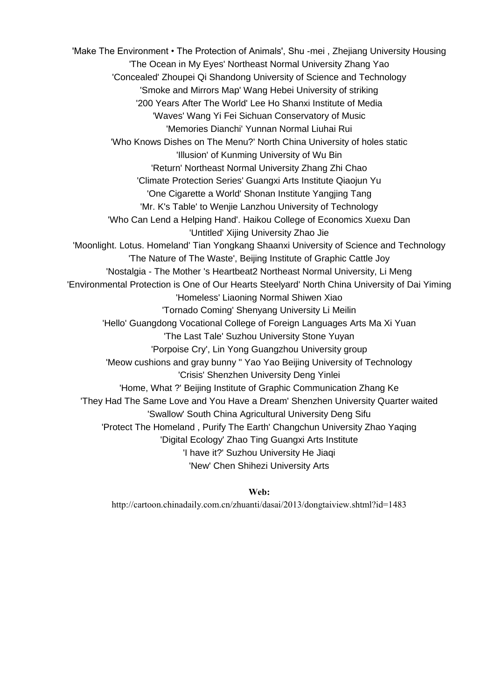'Make The Environment • The Protection of Animals', Shu -mei , Zhejiang University Housing 'The Ocean in My Eyes' Northeast Normal University Zhang Yao 'Concealed' Zhoupei Qi Shandong University of Science and Technology 'Smoke and Mirrors Map' Wang Hebei University of striking '200 Years After The World' Lee Ho Shanxi Institute of Media 'Waves' Wang Yi Fei Sichuan Conservatory of Music 'Memories Dianchi' Yunnan Normal Liuhai Rui 'Who Knows Dishes on The Menu?' North China University of holes static 'Illusion' of Kunming University of Wu Bin 'Return' Northeast Normal University Zhang Zhi Chao 'Climate Protection Series' Guangxi Arts Institute Qiaojun Yu 'One Cigarette a World' Shonan Institute Yangjing Tang 'Mr. K's Table' to Wenjie Lanzhou University of Technology 'Who Can Lend a Helping Hand'. Haikou College of Economics Xuexu Dan 'Untitled' Xijing University Zhao Jie 'Moonlight. Lotus. Homeland' Tian Yongkang Shaanxi University of Science and Technology 'The Nature of The Waste', Beijing Institute of Graphic Cattle Joy 'Nostalgia - The Mother 's Heartbeat2 Northeast Normal University, Li Meng 'Environmental Protection is One of Our Hearts Steelyard' North China University of Dai Yiming 'Homeless' Liaoning Normal Shiwen Xiao 'Tornado Coming' Shenyang University Li Meilin 'Hello' Guangdong Vocational College of Foreign Languages Arts Ma Xi Yuan 'The Last Tale' Suzhou University Stone Yuyan 'Porpoise Cry', Lin Yong Guangzhou University group 'Meow cushions and gray bunny " Yao Yao Beijing University of Technology 'Crisis' Shenzhen University Deng Yinlei 'Home, What ?' Beijing Institute of Graphic Communication Zhang Ke 'They Had The Same Love and You Have a Dream' Shenzhen University Quarter waited 'Swallow' South China Agricultural University Deng Sifu 'Protect The Homeland , Purify The Earth' Changchun University Zhao Yaqing 'Digital Ecology' Zhao Ting Guangxi Arts Institute 'I have it?' Suzhou University He Jiaqi 'New' Chen Shihezi University Arts

**Web:**

<http://cartoon.chinadaily.com.cn/zhuanti/dasai/2013/dongtaiview.shtml?id=1483>